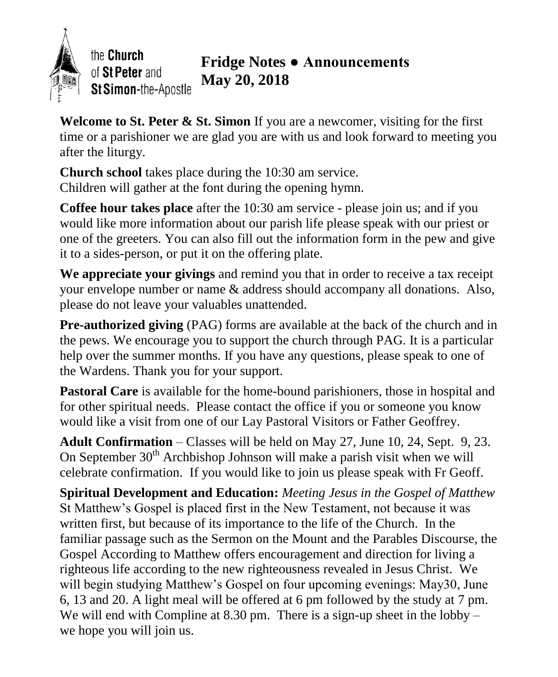

the Church of St Peter and St Simon-the-Apostle

## **Fridge Notes ● Announcements May 20, 2018**

**Welcome to St. Peter & St. Simon** If you are a newcomer, visiting for the first time or a parishioner we are glad you are with us and look forward to meeting you after the liturgy.

**Church school** takes place during the 10:30 am service. Children will gather at the font during the opening hymn.

**Coffee hour takes place** after the 10:30 am service - please join us; and if you would like more information about our parish life please speak with our priest or one of the greeters. You can also fill out the information form in the pew and give it to a sides-person, or put it on the offering plate.

**We appreciate your givings** and remind you that in order to receive a tax receipt your envelope number or name & address should accompany all donations. Also, please do not leave your valuables unattended.

**Pre-authorized giving** (PAG) forms are available at the back of the church and in the pews. We encourage you to support the church through PAG. It is a particular help over the summer months. If you have any questions, please speak to one of the Wardens. Thank you for your support.

Pastoral Care is available for the home-bound parishioners, those in hospital and for other spiritual needs. Please contact the office if you or someone you know would like a visit from one of our Lay Pastoral Visitors or Father Geoffrey.

**Adult Confirmation** – Classes will be held on May 27, June 10, 24, Sept. 9, 23. On September  $30<sup>th</sup>$  Archbishop Johnson will make a parish visit when we will celebrate confirmation. If you would like to join us please speak with Fr Geoff.

**Spiritual Development and Education:** *Meeting Jesus in the Gospel of Matthew* St Matthew's Gospel is placed first in the New Testament, not because it was written first, but because of its importance to the life of the Church. In the familiar passage such as the Sermon on the Mount and the Parables Discourse, the Gospel According to Matthew offers encouragement and direction for living a righteous life according to the new righteousness revealed in Jesus Christ. We will begin studying Matthew's Gospel on four upcoming evenings: May30, June 6, 13 and 20. A light meal will be offered at 6 pm followed by the study at 7 pm. We will end with Compline at  $8.30 \text{ pm}$ . There is a sign-up sheet in the lobby – we hope you will join us.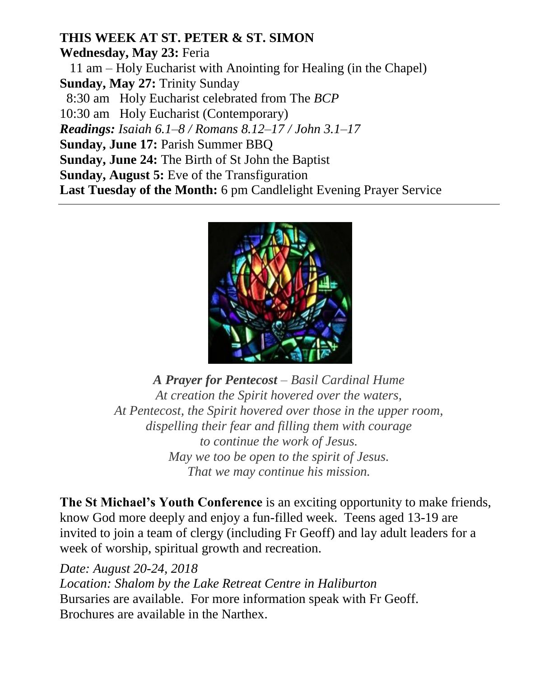## **THIS WEEK AT ST. PETER & ST. SIMON**

**Wednesday, May 23:** Feria 11 am – Holy Eucharist with Anointing for Healing (in the Chapel) **Sunday, May 27:** Trinity Sunday 8:30 am Holy Eucharist celebrated from The *BCP* 10:30 am Holy Eucharist (Contemporary) *Readings: Isaiah 6.1–8 / Romans 8.12–17 / John 3.1–17* **Sunday, June 17:** Parish Summer BBQ **Sunday, June 24:** The Birth of St John the Baptist **Sunday, August 5:** Eve of the Transfiguration **Last Tuesday of the Month:** 6 pm Candlelight Evening Prayer Service



*A Prayer for Pentecost – Basil Cardinal Hume At creation the Spirit hovered over the waters, At Pentecost, the Spirit hovered over those in the upper room, dispelling their fear and filling them with courage to continue the work of Jesus. May we too be open to the spirit of Jesus. That we may continue his mission.*

**The St Michael's Youth Conference** is an exciting opportunity to make friends, know God more deeply and enjoy a fun-filled week. Teens aged 13-19 are invited to join a team of clergy (including Fr Geoff) and lay adult leaders for a week of worship, spiritual growth and recreation.

*Date: August 20-24, 2018 Location: Shalom by the Lake Retreat Centre in Haliburton* Bursaries are available. For more information speak with Fr Geoff. Brochures are available in the Narthex.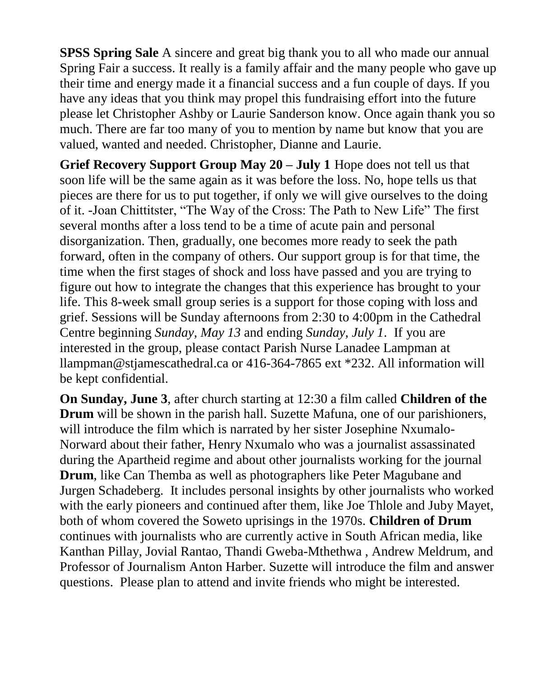**SPSS Spring Sale** A sincere and great big thank you to all who made our annual Spring Fair a success. It really is a family affair and the many people who gave up their time and energy made it a financial success and a fun couple of days. If you have any ideas that you think may propel this fundraising effort into the future please let Christopher Ashby or Laurie Sanderson know. Once again thank you so much. There are far too many of you to mention by name but know that you are valued, wanted and needed. Christopher, Dianne and Laurie.

**Grief Recovery Support Group May 20 – July 1** Hope does not tell us that soon life will be the same again as it was before the loss. No, hope tells us that pieces are there for us to put together, if only we will give ourselves to the doing of it. -Joan Chittitster, "The Way of the Cross: The Path to New Life" The first several months after a loss tend to be a time of acute pain and personal disorganization. Then, gradually, one becomes more ready to seek the path forward, often in the company of others. Our support group is for that time, the time when the first stages of shock and loss have passed and you are trying to figure out how to integrate the changes that this experience has brought to your life. This 8-week small group series is a support for those coping with loss and grief. Sessions will be Sunday afternoons from 2:30 to 4:00pm in the Cathedral Centre beginning *Sunday, May 13* and ending *Sunday, July 1*. If you are interested in the group, please contact Parish Nurse Lanadee Lampman at llampman@stjamescathedral.ca or 416-364-7865 ext \*232. All information will be kept confidential.

**On Sunday, June 3**, after church starting at 12:30 a film called **Children of the Drum** will be shown in the parish hall. Suzette Mafuna, one of our parishioners, will introduce the film which is narrated by her sister Josephine Nxumalo-Norward about their father, Henry Nxumalo who was a journalist assassinated during the Apartheid regime and about other journalists working for the journal **Drum**, like Can Themba as well as photographers like Peter Magubane and Jurgen Schadeberg. It includes personal insights by other journalists who worked with the early pioneers and continued after them, like Joe Thlole and Juby Mayet, both of whom covered the Soweto uprisings in the 1970s. **Children of Drum**  continues with journalists who are currently active in South African media, like Kanthan Pillay, Jovial Rantao, Thandi Gweba-Mthethwa , Andrew Meldrum, and Professor of Journalism Anton Harber. Suzette will introduce the film and answer questions. Please plan to attend and invite friends who might be interested.